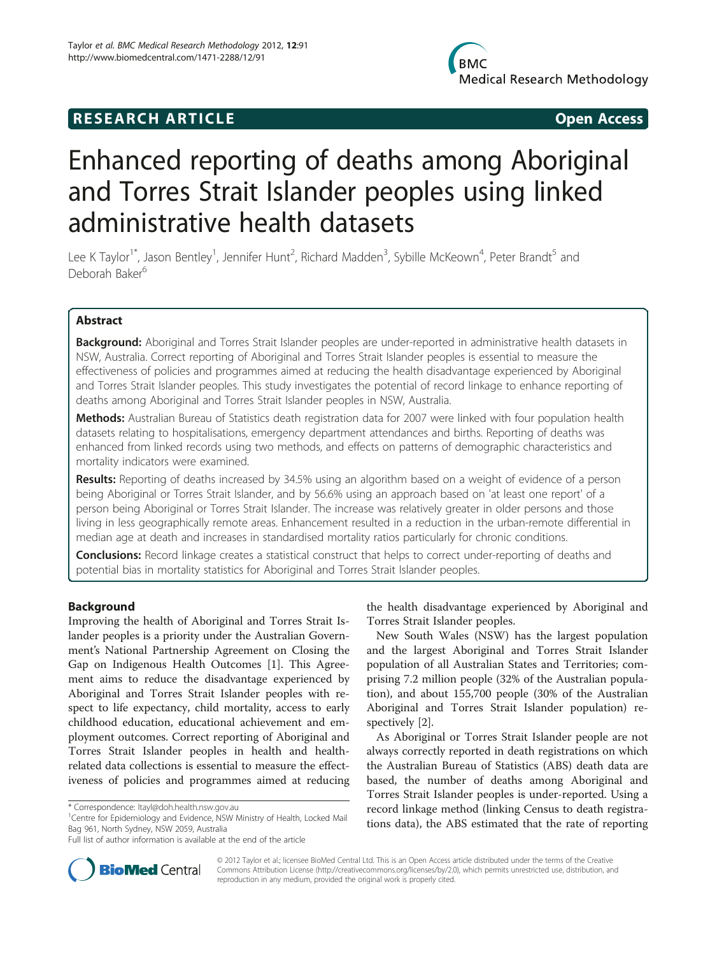# **RESEARCH ARTICLE Example 2018 12:00 Open Access**

**BMC Medical Research Methodology** 

# Enhanced reporting of deaths among Aboriginal and Torres Strait Islander peoples using linked administrative health datasets

Lee K Taylor<sup>1\*</sup>, Jason Bentley<sup>1</sup>, Jennifer Hunt<sup>2</sup>, Richard Madden<sup>3</sup>, Sybille McKeown<sup>4</sup>, Peter Brandt<sup>5</sup> and Deborah Baker6

# Abstract

Background: Aboriginal and Torres Strait Islander peoples are under-reported in administrative health datasets in NSW, Australia. Correct reporting of Aboriginal and Torres Strait Islander peoples is essential to measure the effectiveness of policies and programmes aimed at reducing the health disadvantage experienced by Aboriginal and Torres Strait Islander peoples. This study investigates the potential of record linkage to enhance reporting of deaths among Aboriginal and Torres Strait Islander peoples in NSW, Australia.

Methods: Australian Bureau of Statistics death registration data for 2007 were linked with four population health datasets relating to hospitalisations, emergency department attendances and births. Reporting of deaths was enhanced from linked records using two methods, and effects on patterns of demographic characteristics and mortality indicators were examined.

Results: Reporting of deaths increased by 34.5% using an algorithm based on a weight of evidence of a person being Aboriginal or Torres Strait Islander, and by 56.6% using an approach based on 'at least one report' of a person being Aboriginal or Torres Strait Islander. The increase was relatively greater in older persons and those living in less geographically remote areas. Enhancement resulted in a reduction in the urban-remote differential in median age at death and increases in standardised mortality ratios particularly for chronic conditions.

Conclusions: Record linkage creates a statistical construct that helps to correct under-reporting of deaths and potential bias in mortality statistics for Aboriginal and Torres Strait Islander peoples.

# Background

Improving the health of Aboriginal and Torres Strait Islander peoples is a priority under the Australian Government's National Partnership Agreement on Closing the Gap on Indigenous Health Outcomes [\[1](#page-7-0)]. This Agreement aims to reduce the disadvantage experienced by Aboriginal and Torres Strait Islander peoples with respect to life expectancy, child mortality, access to early childhood education, educational achievement and employment outcomes. Correct reporting of Aboriginal and Torres Strait Islander peoples in health and healthrelated data collections is essential to measure the effectiveness of policies and programmes aimed at reducing

<sup>1</sup> Centre for Epidemiology and Evidence, NSW Ministry of Health, Locked Mail Bag 961, North Sydney, NSW 2059, Australia

the health disadvantage experienced by Aboriginal and Torres Strait Islander peoples.

New South Wales (NSW) has the largest population and the largest Aboriginal and Torres Strait Islander population of all Australian States and Territories; comprising 7.2 million people (32% of the Australian population), and about 155,700 people (30% of the Australian Aboriginal and Torres Strait Islander population) respectively [\[2](#page-7-0)].

As Aboriginal or Torres Strait Islander people are not always correctly reported in death registrations on which the Australian Bureau of Statistics (ABS) death data are based, the number of deaths among Aboriginal and Torres Strait Islander peoples is under-reported. Using a record linkage method (linking Census to death registrations data), the ABS estimated that the rate of reporting



© 2012 Taylor et al.; licensee BioMed Central Ltd. This is an Open Access article distributed under the terms of the Creative Commons Attribution License [\(http://creativecommons.org/licenses/by/2.0\)](http://creativecommons.org/licenses/by/2.0), which permits unrestricted use, distribution, and reproduction in any medium, provided the original work is properly cited.

<sup>\*</sup> Correspondence: [ltayl@doh.health.nsw.gov.au](mailto:ltayl@doh.health.nsw.gov.au) <sup>1</sup>

Full list of author information is available at the end of the article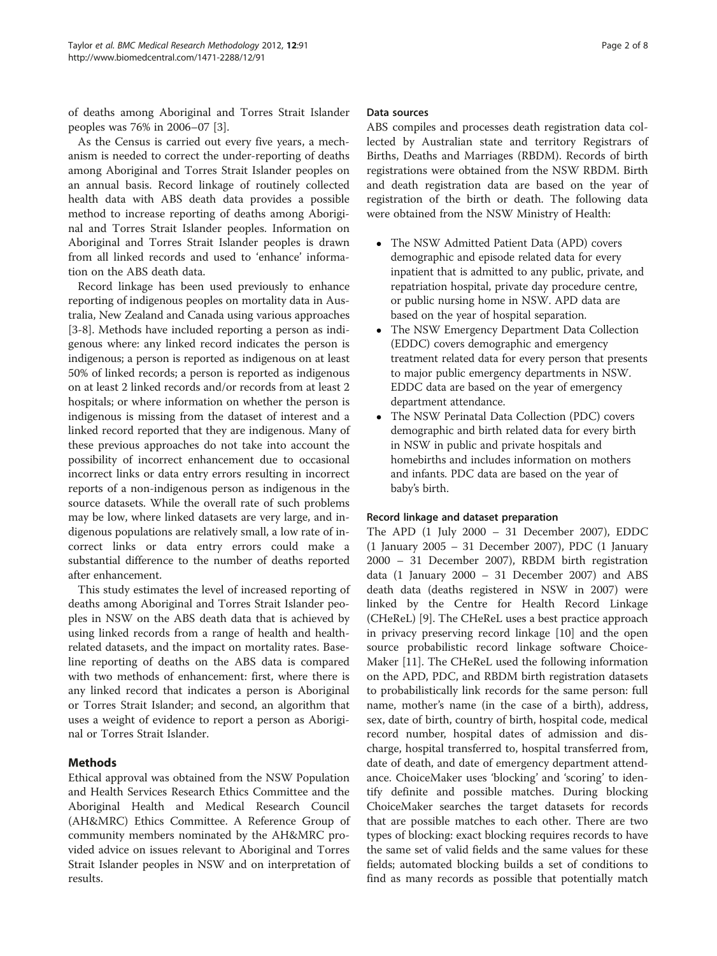of deaths among Aboriginal and Torres Strait Islander peoples was 76% in 2006–07 [\[3](#page-7-0)].

As the Census is carried out every five years, a mechanism is needed to correct the under-reporting of deaths among Aboriginal and Torres Strait Islander peoples on an annual basis. Record linkage of routinely collected health data with ABS death data provides a possible method to increase reporting of deaths among Aboriginal and Torres Strait Islander peoples. Information on Aboriginal and Torres Strait Islander peoples is drawn from all linked records and used to 'enhance' information on the ABS death data.

Record linkage has been used previously to enhance reporting of indigenous peoples on mortality data in Australia, New Zealand and Canada using various approaches [[3-8](#page-7-0)]. Methods have included reporting a person as indigenous where: any linked record indicates the person is indigenous; a person is reported as indigenous on at least 50% of linked records; a person is reported as indigenous on at least 2 linked records and/or records from at least 2 hospitals; or where information on whether the person is indigenous is missing from the dataset of interest and a linked record reported that they are indigenous. Many of these previous approaches do not take into account the possibility of incorrect enhancement due to occasional incorrect links or data entry errors resulting in incorrect reports of a non-indigenous person as indigenous in the source datasets. While the overall rate of such problems may be low, where linked datasets are very large, and indigenous populations are relatively small, a low rate of incorrect links or data entry errors could make a substantial difference to the number of deaths reported after enhancement.

This study estimates the level of increased reporting of deaths among Aboriginal and Torres Strait Islander peoples in NSW on the ABS death data that is achieved by using linked records from a range of health and healthrelated datasets, and the impact on mortality rates. Baseline reporting of deaths on the ABS data is compared with two methods of enhancement: first, where there is any linked record that indicates a person is Aboriginal or Torres Strait Islander; and second, an algorithm that uses a weight of evidence to report a person as Aboriginal or Torres Strait Islander.

# Methods

Ethical approval was obtained from the NSW Population and Health Services Research Ethics Committee and the Aboriginal Health and Medical Research Council (AH&MRC) Ethics Committee. A Reference Group of community members nominated by the AH&MRC provided advice on issues relevant to Aboriginal and Torres Strait Islander peoples in NSW and on interpretation of results.

#### Data sources

ABS compiles and processes death registration data collected by Australian state and territory Registrars of Births, Deaths and Marriages (RBDM). Records of birth registrations were obtained from the NSW RBDM. Birth and death registration data are based on the year of registration of the birth or death. The following data were obtained from the NSW Ministry of Health:

- The NSW Admitted Patient Data (APD) covers demographic and episode related data for every inpatient that is admitted to any public, private, and repatriation hospital, private day procedure centre, or public nursing home in NSW. APD data are based on the year of hospital separation.
- The NSW Emergency Department Data Collection (EDDC) covers demographic and emergency treatment related data for every person that presents to major public emergency departments in NSW. EDDC data are based on the year of emergency department attendance.
- The NSW Perinatal Data Collection (PDC) covers demographic and birth related data for every birth in NSW in public and private hospitals and homebirths and includes information on mothers and infants. PDC data are based on the year of baby's birth.

# Record linkage and dataset preparation

The APD (1 July 2000 – 31 December 2007), EDDC (1 January 2005 – 31 December 2007), PDC (1 January 2000 – 31 December 2007), RBDM birth registration data (1 January 2000 – 31 December 2007) and ABS death data (deaths registered in NSW in 2007) were linked by the Centre for Health Record Linkage (CHeReL) [\[9](#page-7-0)]. The CHeReL uses a best practice approach in privacy preserving record linkage [[10](#page-7-0)] and the open source probabilistic record linkage software Choice-Maker [\[11](#page-7-0)]. The CHeReL used the following information on the APD, PDC, and RBDM birth registration datasets to probabilistically link records for the same person: full name, mother's name (in the case of a birth), address, sex, date of birth, country of birth, hospital code, medical record number, hospital dates of admission and discharge, hospital transferred to, hospital transferred from, date of death, and date of emergency department attendance. ChoiceMaker uses 'blocking' and 'scoring' to identify definite and possible matches. During blocking ChoiceMaker searches the target datasets for records that are possible matches to each other. There are two types of blocking: exact blocking requires records to have the same set of valid fields and the same values for these fields; automated blocking builds a set of conditions to find as many records as possible that potentially match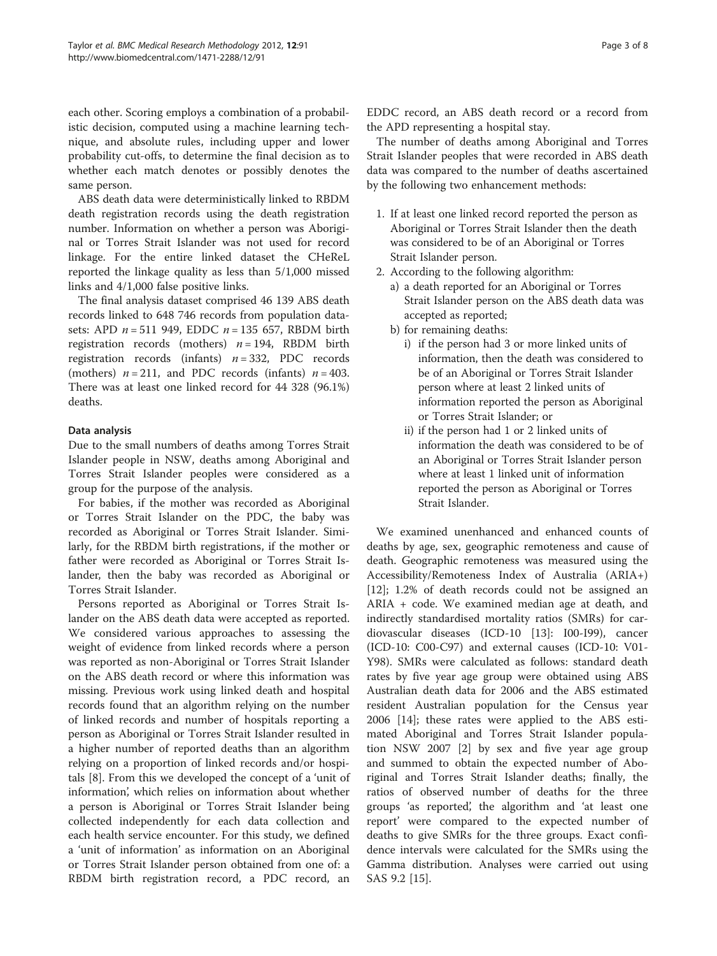each other. Scoring employs a combination of a probabilistic decision, computed using a machine learning technique, and absolute rules, including upper and lower probability cut-offs, to determine the final decision as to whether each match denotes or possibly denotes the same person.

ABS death data were deterministically linked to RBDM death registration records using the death registration number. Information on whether a person was Aboriginal or Torres Strait Islander was not used for record linkage. For the entire linked dataset the CHeReL reported the linkage quality as less than 5/1,000 missed links and 4/1,000 false positive links.

The final analysis dataset comprised 46 139 ABS death records linked to 648 746 records from population datasets: APD  $n = 511$  949, EDDC  $n = 135$  657, RBDM birth registration records (mothers)  $n = 194$ , RBDM birth registration records (infants)  $n = 332$ , PDC records (mothers)  $n = 211$ , and PDC records (infants)  $n = 403$ . There was at least one linked record for 44 328 (96.1%) deaths.

# Data analysis

Due to the small numbers of deaths among Torres Strait Islander people in NSW, deaths among Aboriginal and Torres Strait Islander peoples were considered as a group for the purpose of the analysis.

For babies, if the mother was recorded as Aboriginal or Torres Strait Islander on the PDC, the baby was recorded as Aboriginal or Torres Strait Islander. Similarly, for the RBDM birth registrations, if the mother or father were recorded as Aboriginal or Torres Strait Islander, then the baby was recorded as Aboriginal or Torres Strait Islander.

Persons reported as Aboriginal or Torres Strait Islander on the ABS death data were accepted as reported. We considered various approaches to assessing the weight of evidence from linked records where a person was reported as non-Aboriginal or Torres Strait Islander on the ABS death record or where this information was missing. Previous work using linked death and hospital records found that an algorithm relying on the number of linked records and number of hospitals reporting a person as Aboriginal or Torres Strait Islander resulted in a higher number of reported deaths than an algorithm relying on a proportion of linked records and/or hospitals [[8\]](#page-7-0). From this we developed the concept of a 'unit of information', which relies on information about whether a person is Aboriginal or Torres Strait Islander being collected independently for each data collection and each health service encounter. For this study, we defined a 'unit of information' as information on an Aboriginal or Torres Strait Islander person obtained from one of: a RBDM birth registration record, a PDC record, an

EDDC record, an ABS death record or a record from the APD representing a hospital stay.

The number of deaths among Aboriginal and Torres Strait Islander peoples that were recorded in ABS death data was compared to the number of deaths ascertained by the following two enhancement methods:

- 1. If at least one linked record reported the person as Aboriginal or Torres Strait Islander then the death was considered to be of an Aboriginal or Torres Strait Islander person.
- 2. According to the following algorithm:
	- a) a death reported for an Aboriginal or Torres Strait Islander person on the ABS death data was accepted as reported;
	- b) for remaining deaths:
		- i) if the person had 3 or more linked units of information, then the death was considered to be of an Aboriginal or Torres Strait Islander person where at least 2 linked units of information reported the person as Aboriginal or Torres Strait Islander; or
		- ii) if the person had 1 or 2 linked units of information the death was considered to be of an Aboriginal or Torres Strait Islander person where at least 1 linked unit of information reported the person as Aboriginal or Torres Strait Islander.

We examined unenhanced and enhanced counts of deaths by age, sex, geographic remoteness and cause of death. Geographic remoteness was measured using the Accessibility/Remoteness Index of Australia (ARIA+) [[12\]](#page-7-0); 1.2% of death records could not be assigned an ARIA + code. We examined median age at death, and indirectly standardised mortality ratios (SMRs) for cardiovascular diseases (ICD-10 [[13](#page-7-0)]: I00-I99), cancer (ICD-10: C00-C97) and external causes (ICD-10: V01- Y98). SMRs were calculated as follows: standard death rates by five year age group were obtained using ABS Australian death data for 2006 and the ABS estimated resident Australian population for the Census year 2006 [\[14\]](#page-7-0); these rates were applied to the ABS estimated Aboriginal and Torres Strait Islander population NSW 2007 [[2\]](#page-7-0) by sex and five year age group and summed to obtain the expected number of Aboriginal and Torres Strait Islander deaths; finally, the ratios of observed number of deaths for the three groups 'as reported', the algorithm and 'at least one report' were compared to the expected number of deaths to give SMRs for the three groups. Exact confidence intervals were calculated for the SMRs using the Gamma distribution. Analyses were carried out using SAS 9.2 [\[15](#page-7-0)].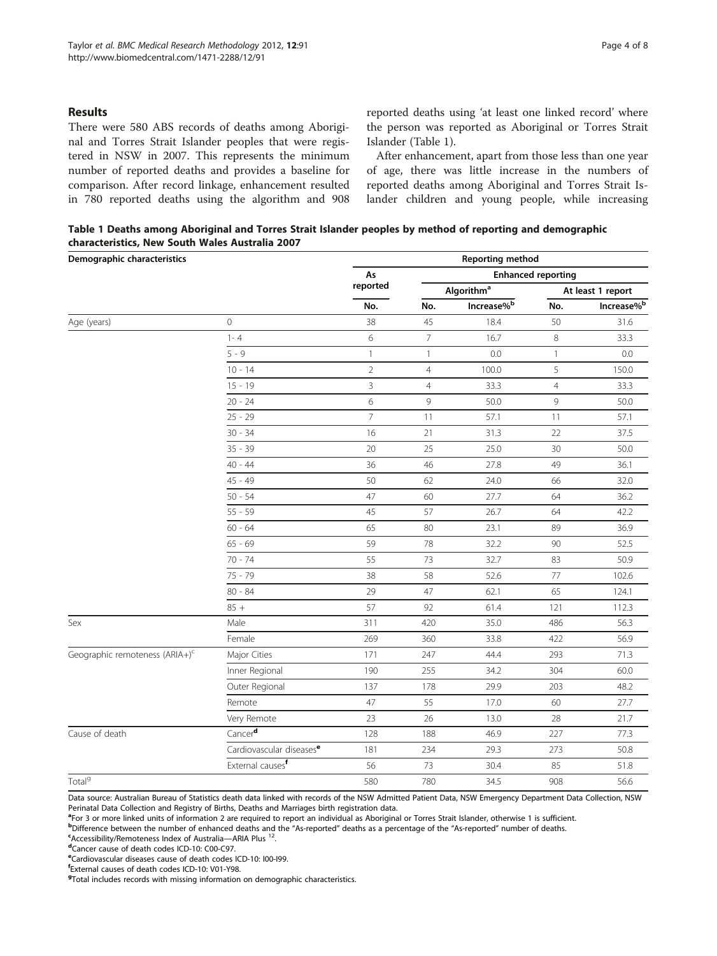# Results

There were 580 ABS records of deaths among Aboriginal and Torres Strait Islander peoples that were registered in NSW in 2007. This represents the minimum number of reported deaths and provides a baseline for comparison. After record linkage, enhancement resulted in 780 reported deaths using the algorithm and 908

reported deaths using 'at least one linked record' where the person was reported as Aboriginal or Torres Strait Islander (Table 1).

After enhancement, apart from those less than one year of age, there was little increase in the numbers of reported deaths among Aboriginal and Torres Strait Islander children and young people, while increasing

Table 1 Deaths among Aboriginal and Torres Strait Islander peoples by method of reporting and demographic characteristics, New South Wales Australia 2007

| Demographic characteristics                |                                      | <b>Reporting method</b> |                           |                        |                |                        |  |  |  |  |
|--------------------------------------------|--------------------------------------|-------------------------|---------------------------|------------------------|----------------|------------------------|--|--|--|--|
|                                            |                                      | As                      | <b>Enhanced reporting</b> |                        |                |                        |  |  |  |  |
|                                            |                                      | reported                |                           | Algorithm <sup>a</sup> |                | At least 1 report      |  |  |  |  |
|                                            |                                      | No.                     | No.                       | Increase% <sup>b</sup> | No.            | Increase% <sup>b</sup> |  |  |  |  |
| Age (years)                                | $\overline{0}$                       | 38                      | 45                        | 18.4                   | 50             | 31.6                   |  |  |  |  |
|                                            | $1 - 4$                              | 6                       | $\overline{7}$            | 16.7                   | 8              | 33.3                   |  |  |  |  |
|                                            | $5 - 9$                              | $\mathbf{1}$            | $\mathbf{1}$              | 0.0                    | $\mathbf{1}$   | 0.0                    |  |  |  |  |
|                                            | $10 - 14$                            | $\overline{2}$          | $\overline{4}$            | 100.0                  | 5              | 150.0                  |  |  |  |  |
|                                            | $15 - 19$                            | $\overline{3}$          | $\overline{4}$            | 33.3                   | $\overline{4}$ | 33.3                   |  |  |  |  |
|                                            | $20 - 24$                            | 6                       | 9                         | 50.0                   | 9              | 50.0                   |  |  |  |  |
|                                            | $25 - 29$                            | $\overline{7}$          | 11                        | 57.1                   | 11             | 57.1                   |  |  |  |  |
|                                            | $30 - 34$                            | 16                      | 21                        | 31.3                   | 22             | 37.5                   |  |  |  |  |
|                                            | $35 - 39$                            | 20                      | 25                        | 25.0                   | 30             | 50.0                   |  |  |  |  |
|                                            | $40 - 44$                            | 36                      | 46                        | 27.8                   | 49             | 36.1                   |  |  |  |  |
|                                            | $45 - 49$                            | 50                      | 62                        | 24.0                   | 66             | 32.0                   |  |  |  |  |
|                                            | $50 - 54$                            | 47                      | 60                        | 27.7                   | 64             | 36.2                   |  |  |  |  |
|                                            | $55 - 59$                            | 45                      | 57                        | 26.7                   | 64             | 42.2                   |  |  |  |  |
|                                            | $60 - 64$                            | 65                      | 80                        | 23.1                   | 89             | 36.9                   |  |  |  |  |
|                                            | $65 - 69$                            | 59                      | 78                        | 32.2                   | 90             | 52.5                   |  |  |  |  |
|                                            | $70 - 74$                            | 55                      | 73                        | 32.7                   | 83             | 50.9                   |  |  |  |  |
|                                            | $75 - 79$                            | 38                      | 58                        | 52.6                   | 77             | 102.6                  |  |  |  |  |
|                                            | $80 - 84$                            | 29                      | 47                        | 62.1                   | 65             | 124.1                  |  |  |  |  |
|                                            | $85 +$                               | 57                      | 92                        | 61.4                   | 121            | 112.3                  |  |  |  |  |
| Sex                                        | Male                                 | 311                     | 420                       | 35.0                   | 486            | 56.3                   |  |  |  |  |
|                                            | Female                               | 269                     | 360                       | 33.8                   | 422            | 56.9                   |  |  |  |  |
| Geographic remoteness (ARIA+) <sup>c</sup> | Major Cities                         | 171                     | 247                       | 44.4                   | 293            | 71.3                   |  |  |  |  |
|                                            | Inner Regional                       | 190                     | 255                       | 34.2                   | 304            | 60.0                   |  |  |  |  |
|                                            | Outer Regional                       | 137                     | 178                       | 29.9                   | 203            | 48.2                   |  |  |  |  |
|                                            | Remote                               | 47                      | 55                        | 17.0                   | 60             | 27.7                   |  |  |  |  |
|                                            | Very Remote                          | 23                      | 26                        | 13.0                   | 28             | 21.7                   |  |  |  |  |
| Cause of death                             | Cancer                               | 128                     | 188                       | 46.9                   | 227            | 77.3                   |  |  |  |  |
|                                            | Cardiovascular diseases <sup>e</sup> | 181                     | 234                       | 29.3                   | 273            | 50.8                   |  |  |  |  |
|                                            | External causes <sup>f</sup>         | 56                      | 73                        | 30.4                   | 85             | 51.8                   |  |  |  |  |
| Total <sup>9</sup>                         |                                      | 580                     | 780                       | 34.5                   | 908            | 56.6                   |  |  |  |  |

Data source: Australian Bureau of Statistics death data linked with records of the NSW Admitted Patient Data, NSW Emergency Department Data Collection, NSW Perinatal Data Collection and Registry of Births, Deaths and Marriages birth registration data.

<sup>a</sup> For 3 or more linked units of information 2 are required to report an individual as Aboriginal or Torres Strait Islander, otherwise 1 is sufficient

**b**Difference between the number of enhanced deaths and the "As-reported" deaths as a percentage of the "As-reported" number of deaths.<br>Saccesibility/Remotences ladox of Australia - ABIA Blue <sup>12</sup>

 $c$ Accessibility/Remoteness Index of Australia-ARIA Plus<sup>12</sup>.

Cancer cause of death codes ICD-10: C00-C97.

e Cardiovascular diseases cause of death codes ICD-10: I00-I99.

f External causes of death codes ICD-10: V01-Y98.

**9Total includes records with missing information on demographic characteristics.**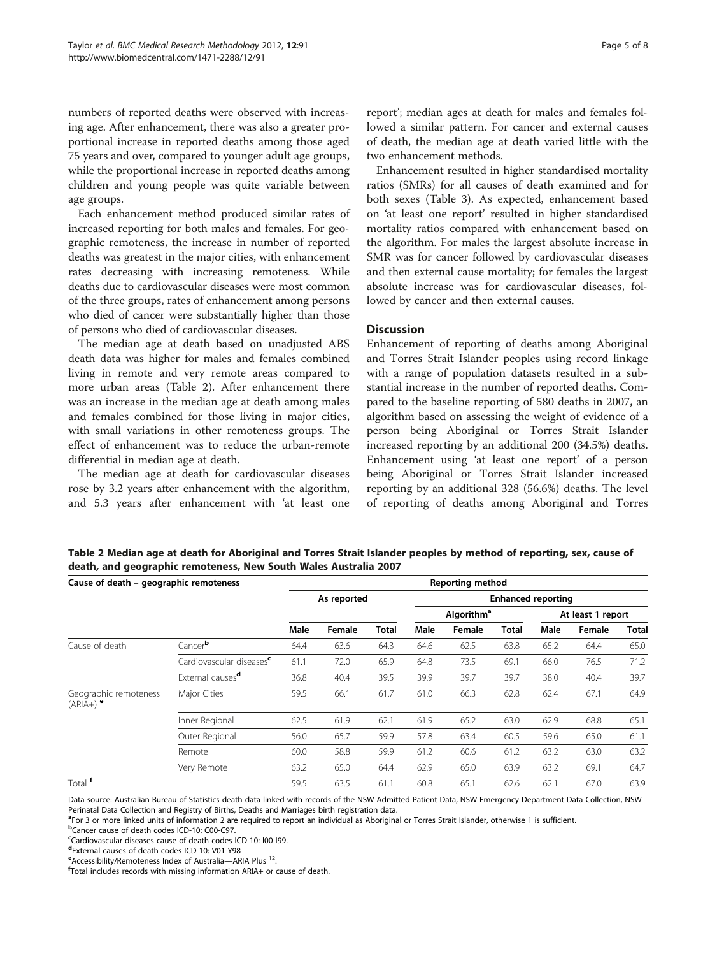numbers of reported deaths were observed with increasing age. After enhancement, there was also a greater proportional increase in reported deaths among those aged 75 years and over, compared to younger adult age groups, while the proportional increase in reported deaths among children and young people was quite variable between age groups.

Each enhancement method produced similar rates of increased reporting for both males and females. For geographic remoteness, the increase in number of reported deaths was greatest in the major cities, with enhancement rates decreasing with increasing remoteness. While deaths due to cardiovascular diseases were most common of the three groups, rates of enhancement among persons who died of cancer were substantially higher than those of persons who died of cardiovascular diseases.

The median age at death based on unadjusted ABS death data was higher for males and females combined living in remote and very remote areas compared to more urban areas (Table 2). After enhancement there was an increase in the median age at death among males and females combined for those living in major cities, with small variations in other remoteness groups. The effect of enhancement was to reduce the urban-remote differential in median age at death.

The median age at death for cardiovascular diseases rose by 3.2 years after enhancement with the algorithm, and 5.3 years after enhancement with 'at least one

report'; median ages at death for males and females followed a similar pattern. For cancer and external causes of death, the median age at death varied little with the two enhancement methods.

Enhancement resulted in higher standardised mortality ratios (SMRs) for all causes of death examined and for both sexes (Table [3](#page-5-0)). As expected, enhancement based on 'at least one report' resulted in higher standardised mortality ratios compared with enhancement based on the algorithm. For males the largest absolute increase in SMR was for cancer followed by cardiovascular diseases and then external cause mortality; for females the largest absolute increase was for cardiovascular diseases, followed by cancer and then external causes.

#### Discussion

Enhancement of reporting of deaths among Aboriginal and Torres Strait Islander peoples using record linkage with a range of population datasets resulted in a substantial increase in the number of reported deaths. Compared to the baseline reporting of 580 deaths in 2007, an algorithm based on assessing the weight of evidence of a person being Aboriginal or Torres Strait Islander increased reporting by an additional 200 (34.5%) deaths. Enhancement using 'at least one report' of a person being Aboriginal or Torres Strait Islander increased reporting by an additional 328 (56.6%) deaths. The level of reporting of deaths among Aboriginal and Torres

Table 2 Median age at death for Aboriginal and Torres Strait Islander peoples by method of reporting, sex, cause of death, and geographic remoteness, New South Wales Australia 2007

| Cause of death - geographic remoteness          |                                      | <b>Reporting method</b> |             |       |      |                        |                           |      |                   |              |  |  |  |
|-------------------------------------------------|--------------------------------------|-------------------------|-------------|-------|------|------------------------|---------------------------|------|-------------------|--------------|--|--|--|
|                                                 |                                      |                         | As reported |       |      |                        | <b>Enhanced reporting</b> |      |                   |              |  |  |  |
|                                                 |                                      |                         |             |       |      | Algorithm <sup>a</sup> |                           |      | At least 1 report |              |  |  |  |
|                                                 |                                      | Male                    | Female      | Total | Male | Female                 | Total                     | Male | Female            | <b>Total</b> |  |  |  |
| Cause of death                                  | Cancer <sup>b</sup>                  | 64.4                    | 63.6        | 64.3  | 64.6 | 62.5                   | 63.8                      | 65.2 | 64.4              | 65.0         |  |  |  |
|                                                 | Cardiovascular diseases <sup>c</sup> | 61.1                    | 72.0        | 65.9  | 64.8 | 73.5                   | 69.1                      | 66.0 | 76.5              | 71.2         |  |  |  |
|                                                 | External causes <sup>d</sup>         | 36.8                    | 40.4        | 39.5  | 39.9 | 39.7                   | 39.7                      | 38.0 | 40.4              | 39.7         |  |  |  |
| Geographic remoteness<br>$(ARIA+)$ <sup>e</sup> | Major Cities                         | 59.5                    | 66.1        | 61.7  | 61.0 | 66.3                   | 62.8                      | 62.4 | 67.1              | 64.9         |  |  |  |
|                                                 | Inner Regional                       | 62.5                    | 61.9        | 62.1  | 61.9 | 65.2                   | 63.0                      | 62.9 | 68.8              | 65.1         |  |  |  |
|                                                 | Outer Regional                       | 56.0                    | 65.7        | 59.9  | 57.8 | 63.4                   | 60.5                      | 59.6 | 65.0              | 61.1         |  |  |  |
|                                                 | Remote                               | 60.0                    | 58.8        | 59.9  | 61.2 | 60.6                   | 61.2                      | 63.2 | 63.0              | 63.2         |  |  |  |
|                                                 | Very Remote                          | 63.2                    | 65.0        | 64.4  | 62.9 | 65.0                   | 63.9                      | 63.2 | 69.1              | 64.7         |  |  |  |
| Total f                                         |                                      | 59.5                    | 63.5        | 61.1  | 60.8 | 65.1                   | 62.6                      | 62.1 | 67.0              | 63.9         |  |  |  |

Data source: Australian Bureau of Statistics death data linked with records of the NSW Admitted Patient Data, NSW Emergency Department Data Collection, NSW Perinatal Data Collection and Registry of Births, Deaths and Marriages birth registration data.

<sup>a</sup> For 3 or more linked units of information 2 are required to report an individual as Aboriginal or Torres Strait Islander, otherwise 1 is sufficient

b Cancer cause of death codes ICD-10: C00-C97.

c Cardiovascular diseases cause of death codes ICD-10: I00-I99.

d External causes of death codes ICD-10: V01-Y98

e<br>Accessibility/Remoteness Index of Australia—ARIA Plus <sup>12</sup>.<br>Frotal includes records with missing information ARIA+ or

Total includes records with missing information ARIA+ or cause of death.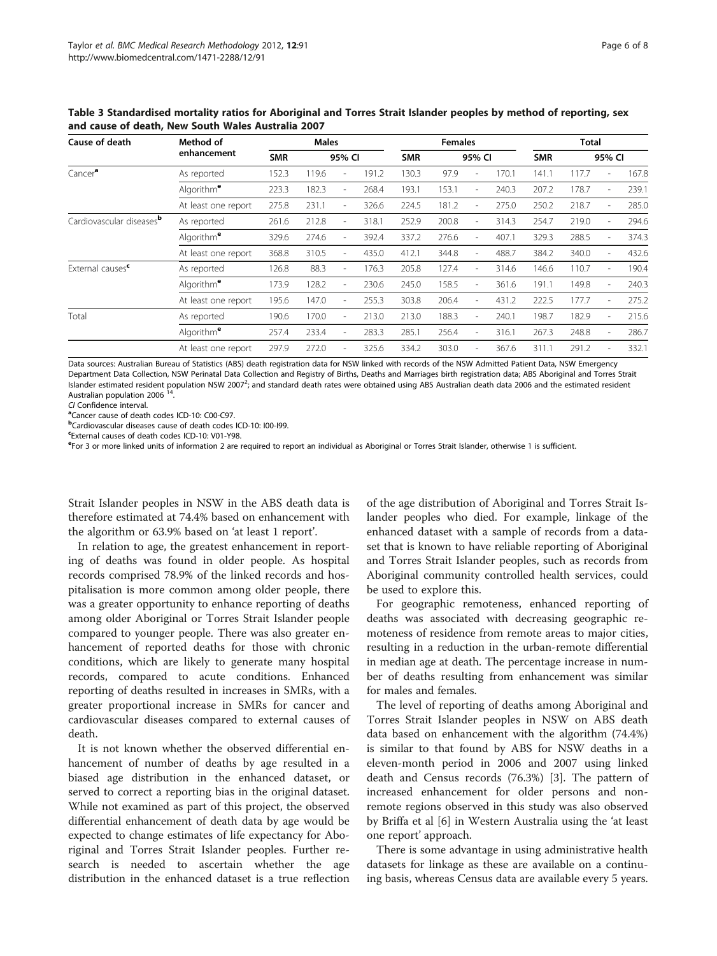| Cause of death                       | Method of                  | <b>Males</b>        |        |                          |            | <b>Females</b> |       |                          |            | <b>Total</b> |       |                          |       |
|--------------------------------------|----------------------------|---------------------|--------|--------------------------|------------|----------------|-------|--------------------------|------------|--------------|-------|--------------------------|-------|
| Cancer <sup>a</sup>                  | enhancement<br>As reported | <b>SMR</b><br>152.3 | 95% CI |                          | <b>SMR</b> | 95% CI         |       |                          | <b>SMR</b> | 95% CI       |       |                          |       |
|                                      |                            |                     | 119.6  | $\overline{\phantom{m}}$ | 191.2      | 130.3          | 97.9  | $\overline{\phantom{a}}$ | 170.1      | 141.1        | 117.7 | $\overline{\phantom{a}}$ | 167.8 |
|                                      | Algorithm <sup>e</sup>     | 223.3               | 182.3  | $\overline{\phantom{a}}$ | 268.4      | 193.1          | 153.1 | $\overline{\phantom{a}}$ | 240.3      | 207.2        | 178.7 | $\overline{\phantom{a}}$ | 239.1 |
|                                      | At least one report        | 275.8               | 231.1  | $\overline{\phantom{a}}$ | 326.6      | 224.5          | 181.2 | $\overline{\phantom{a}}$ | 275.0      | 250.2        | 218.7 | $\overline{\phantom{a}}$ | 285.0 |
| Cardiovascular diseases <sup>b</sup> | As reported                | 261.6               | 212.8  | ٠                        | 318.1      | 252.9          | 200.8 | $\overline{\phantom{a}}$ | 314.3      | 254.7        | 219.0 |                          | 294.6 |
|                                      | Algorithm <sup>e</sup>     | 329.6               | 274.6  | ٠                        | 392.4      | 337.2          | 276.6 | $\overline{\phantom{a}}$ | 407.1      | 329.3        | 288.5 | $\overline{\phantom{a}}$ | 374.3 |
|                                      | At least one report        | 368.8               | 310.5  | ٠                        | 435.0      | 412.1          | 344.8 | $\overline{\phantom{a}}$ | 488.7      | 384.2        | 340.0 | $\overline{\phantom{a}}$ | 432.6 |
| External causes <sup>c</sup>         | As reported                | 126.8               | 88.3   | ٠                        | 176.3      | 205.8          | 127.4 | $\overline{a}$           | 314.6      | 146.6        | 110.7 | ٠                        | 190.4 |
|                                      | Algorithm <sup>e</sup>     | 173.9               | 128.2  | ٠                        | 230.6      | 245.0          | 158.5 | $\overline{\phantom{a}}$ | 361.6      | 191.1        | 149.8 | $\overline{\phantom{a}}$ | 240.3 |
|                                      | At least one report        | 195.6               | 147.0  | $\overline{\phantom{a}}$ | 255.3      | 303.8          | 206.4 | $\overline{\phantom{a}}$ | 431.2      | 222.5        | 177.7 | $\overline{\phantom{a}}$ | 275.2 |
| Total                                | As reported                | 190.6               | 170.0  | $\overline{\phantom{a}}$ | 213.0      | 213.0          | 188.3 | $\overline{\phantom{a}}$ | 240.1      | 198.7        | 182.9 | $\overline{\phantom{a}}$ | 215.6 |
|                                      | Algorithm <sup>e</sup>     | 257.4               | 233.4  | ٠                        | 283.3      | 285.1          | 256.4 | $\overline{\phantom{a}}$ | 316.1      | 267.3        | 248.8 | $\overline{\phantom{a}}$ | 286.7 |
|                                      | At least one report        | 297.9               | 272.0  | ٠                        | 325.6      | 334.2          | 303.0 | $\overline{a}$           | 367.6      | 311.1        | 291.2 |                          | 332.1 |

<span id="page-5-0"></span>Table 3 Standardised mortality ratios for Aboriginal and Torres Strait Islander peoples by method of reporting, sex and cause of death, New South Wales Australia 2007

Data sources: Australian Bureau of Statistics (ABS) death registration data for NSW linked with records of the NSW Admitted Patient Data, NSW Emergency Department Data Collection, NSW Perinatal Data Collection and Registry of Births, Deaths and Marriages birth registration data; ABS Aboriginal and Torres Strait Islander estimated resident population NSW 2007<sup>2</sup>; and standard death rates were obtained using ABS Australian death data 2006 and the estimated resident Australian population 2006

CI Confidence interval.

<sup>a</sup>Cancer cause of death codes ICD-10: C00-C97.

b Cardiovascular diseases cause of death codes ICD-10: I00-I99.

c External causes of death codes ICD-10: V01-Y98.

<sup>e</sup> For 3 or more linked units of information 2 are required to report an individual as Aboriginal or Torres Strait Islander, otherwise 1 is sufficient

Strait Islander peoples in NSW in the ABS death data is therefore estimated at 74.4% based on enhancement with the algorithm or 63.9% based on 'at least 1 report'.

In relation to age, the greatest enhancement in reporting of deaths was found in older people. As hospital records comprised 78.9% of the linked records and hospitalisation is more common among older people, there was a greater opportunity to enhance reporting of deaths among older Aboriginal or Torres Strait Islander people compared to younger people. There was also greater enhancement of reported deaths for those with chronic conditions, which are likely to generate many hospital records, compared to acute conditions. Enhanced reporting of deaths resulted in increases in SMRs, with a greater proportional increase in SMRs for cancer and cardiovascular diseases compared to external causes of death.

It is not known whether the observed differential enhancement of number of deaths by age resulted in a biased age distribution in the enhanced dataset, or served to correct a reporting bias in the original dataset. While not examined as part of this project, the observed differential enhancement of death data by age would be expected to change estimates of life expectancy for Aboriginal and Torres Strait Islander peoples. Further research is needed to ascertain whether the age distribution in the enhanced dataset is a true reflection

of the age distribution of Aboriginal and Torres Strait Islander peoples who died. For example, linkage of the enhanced dataset with a sample of records from a dataset that is known to have reliable reporting of Aboriginal and Torres Strait Islander peoples, such as records from Aboriginal community controlled health services, could be used to explore this.

For geographic remoteness, enhanced reporting of deaths was associated with decreasing geographic remoteness of residence from remote areas to major cities, resulting in a reduction in the urban-remote differential in median age at death. The percentage increase in number of deaths resulting from enhancement was similar for males and females.

The level of reporting of deaths among Aboriginal and Torres Strait Islander peoples in NSW on ABS death data based on enhancement with the algorithm (74.4%) is similar to that found by ABS for NSW deaths in a eleven-month period in 2006 and 2007 using linked death and Census records (76.3%) [[3\]](#page-7-0). The pattern of increased enhancement for older persons and nonremote regions observed in this study was also observed by Briffa et al [[6\]](#page-7-0) in Western Australia using the 'at least one report' approach.

There is some advantage in using administrative health datasets for linkage as these are available on a continuing basis, whereas Census data are available every 5 years.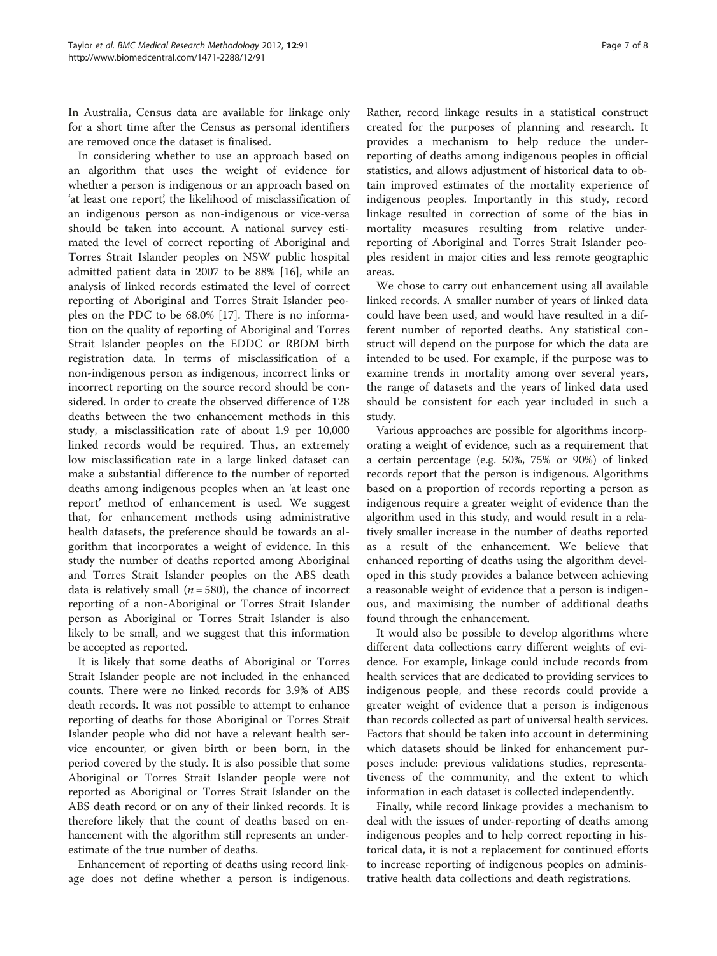In Australia, Census data are available for linkage only for a short time after the Census as personal identifiers are removed once the dataset is finalised.

In considering whether to use an approach based on an algorithm that uses the weight of evidence for whether a person is indigenous or an approach based on 'at least one report', the likelihood of misclassification of an indigenous person as non-indigenous or vice-versa should be taken into account. A national survey estimated the level of correct reporting of Aboriginal and Torres Strait Islander peoples on NSW public hospital admitted patient data in 2007 to be 88% [[16\]](#page-7-0), while an analysis of linked records estimated the level of correct reporting of Aboriginal and Torres Strait Islander peoples on the PDC to be 68.0% [[17](#page-7-0)]. There is no information on the quality of reporting of Aboriginal and Torres Strait Islander peoples on the EDDC or RBDM birth registration data. In terms of misclassification of a non-indigenous person as indigenous, incorrect links or incorrect reporting on the source record should be considered. In order to create the observed difference of 128 deaths between the two enhancement methods in this study, a misclassification rate of about 1.9 per 10,000 linked records would be required. Thus, an extremely low misclassification rate in a large linked dataset can make a substantial difference to the number of reported deaths among indigenous peoples when an 'at least one report' method of enhancement is used. We suggest that, for enhancement methods using administrative health datasets, the preference should be towards an algorithm that incorporates a weight of evidence. In this study the number of deaths reported among Aboriginal and Torres Strait Islander peoples on the ABS death data is relatively small ( $n = 580$ ), the chance of incorrect reporting of a non-Aboriginal or Torres Strait Islander person as Aboriginal or Torres Strait Islander is also likely to be small, and we suggest that this information be accepted as reported.

It is likely that some deaths of Aboriginal or Torres Strait Islander people are not included in the enhanced counts. There were no linked records for 3.9% of ABS death records. It was not possible to attempt to enhance reporting of deaths for those Aboriginal or Torres Strait Islander people who did not have a relevant health service encounter, or given birth or been born, in the period covered by the study. It is also possible that some Aboriginal or Torres Strait Islander people were not reported as Aboriginal or Torres Strait Islander on the ABS death record or on any of their linked records. It is therefore likely that the count of deaths based on enhancement with the algorithm still represents an underestimate of the true number of deaths.

Enhancement of reporting of deaths using record linkage does not define whether a person is indigenous.

Rather, record linkage results in a statistical construct created for the purposes of planning and research. It provides a mechanism to help reduce the underreporting of deaths among indigenous peoples in official statistics, and allows adjustment of historical data to obtain improved estimates of the mortality experience of indigenous peoples. Importantly in this study, record linkage resulted in correction of some of the bias in mortality measures resulting from relative underreporting of Aboriginal and Torres Strait Islander peoples resident in major cities and less remote geographic areas.

We chose to carry out enhancement using all available linked records. A smaller number of years of linked data could have been used, and would have resulted in a different number of reported deaths. Any statistical construct will depend on the purpose for which the data are intended to be used. For example, if the purpose was to examine trends in mortality among over several years, the range of datasets and the years of linked data used should be consistent for each year included in such a study.

Various approaches are possible for algorithms incorporating a weight of evidence, such as a requirement that a certain percentage (e.g. 50%, 75% or 90%) of linked records report that the person is indigenous. Algorithms based on a proportion of records reporting a person as indigenous require a greater weight of evidence than the algorithm used in this study, and would result in a relatively smaller increase in the number of deaths reported as a result of the enhancement. We believe that enhanced reporting of deaths using the algorithm developed in this study provides a balance between achieving a reasonable weight of evidence that a person is indigenous, and maximising the number of additional deaths found through the enhancement.

It would also be possible to develop algorithms where different data collections carry different weights of evidence. For example, linkage could include records from health services that are dedicated to providing services to indigenous people, and these records could provide a greater weight of evidence that a person is indigenous than records collected as part of universal health services. Factors that should be taken into account in determining which datasets should be linked for enhancement purposes include: previous validations studies, representativeness of the community, and the extent to which information in each dataset is collected independently.

Finally, while record linkage provides a mechanism to deal with the issues of under-reporting of deaths among indigenous peoples and to help correct reporting in historical data, it is not a replacement for continued efforts to increase reporting of indigenous peoples on administrative health data collections and death registrations.